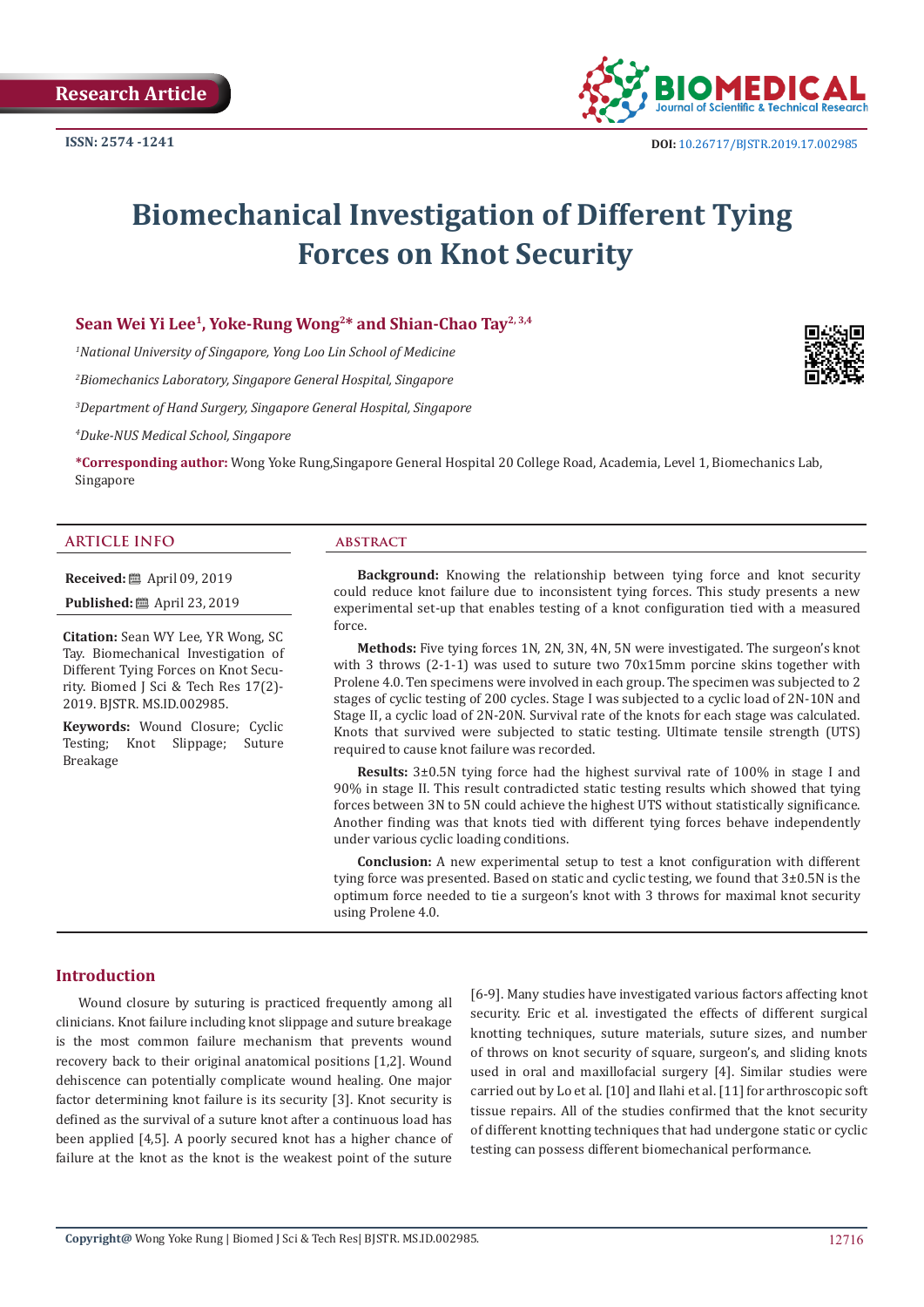

# **Biomechanical Investigation of Different Tying Forces on Knot Security**

### Sean Wei Yi Lee<sup>1</sup>, Yoke-Rung Wong<sup>2\*</sup> and Shian-Chao Tay<sup>2, 3,4</sup>

*1 National University of Singapore, Yong Loo Lin School of Medicine* 

*2 Biomechanics Laboratory, Singapore General Hospital, Singapore*

*3 Department of Hand Surgery, Singapore General Hospital, Singapore*

*4 Duke-NUS Medical School, Singapore*

**\*Corresponding author:** Wong Yoke Rung,Singapore General Hospital 20 College Road, Academia, Level 1, Biomechanics Lab, Singapore

#### **ARTICLE INFO abstract**

**Received:** ■ April 09, 2019

**Published:** ■ April 23, 2019

**Citation:** Sean WY Lee, YR Wong, SC Tay. Biomechanical Investigation of Different Tying Forces on Knot Security. Biomed J Sci & Tech Res 17(2)- 2019. BJSTR. MS.ID.002985.

**Keywords:** Wound Closure; Cyclic Testing: Knot Slippage; Suture Testing; Knot Slippage; Breakage

**Background:** Knowing the relationship between tying force and knot security could reduce knot failure due to inconsistent tying forces. This study presents a new experimental set-up that enables testing of a knot configuration tied with a measured force.

**Methods:** Five tying forces 1N, 2N, 3N, 4N, 5N were investigated. The surgeon's knot with 3 throws (2-1-1) was used to suture two 70x15mm porcine skins together with Prolene 4.0. Ten specimens were involved in each group. The specimen was subjected to 2 stages of cyclic testing of 200 cycles. Stage I was subjected to a cyclic load of 2N-10N and Stage II, a cyclic load of 2N-20N. Survival rate of the knots for each stage was calculated. Knots that survived were subjected to static testing. Ultimate tensile strength (UTS) required to cause knot failure was recorded.

**Results:** 3±0.5N tying force had the highest survival rate of 100% in stage I and 90% in stage II. This result contradicted static testing results which showed that tying forces between 3N to 5N could achieve the highest UTS without statistically significance. Another finding was that knots tied with different tying forces behave independently under various cyclic loading conditions.

**Conclusion:** A new experimental setup to test a knot configuration with different tying force was presented. Based on static and cyclic testing, we found that  $3\pm0.5N$  is the optimum force needed to tie a surgeon's knot with 3 throws for maximal knot security using Prolene 4.0.

## **Introduction**

Wound closure by suturing is practiced frequently among all clinicians. Knot failure including knot slippage and suture breakage is the most common failure mechanism that prevents wound recovery back to their original anatomical positions [1,2]. Wound dehiscence can potentially complicate wound healing. One major factor determining knot failure is its security [3]. Knot security is defined as the survival of a suture knot after a continuous load has been applied [4,5]. A poorly secured knot has a higher chance of failure at the knot as the knot is the weakest point of the suture

[6-9]. Many studies have investigated various factors affecting knot security. Eric et al. investigated the effects of different surgical knotting techniques, suture materials, suture sizes, and number of throws on knot security of square, surgeon's, and sliding knots used in oral and maxillofacial surgery [4]. Similar studies were carried out by Lo et al. [10] and Ilahi et al. [11] for arthroscopic soft tissue repairs. All of the studies confirmed that the knot security of different knotting techniques that had undergone static or cyclic testing can possess different biomechanical performance.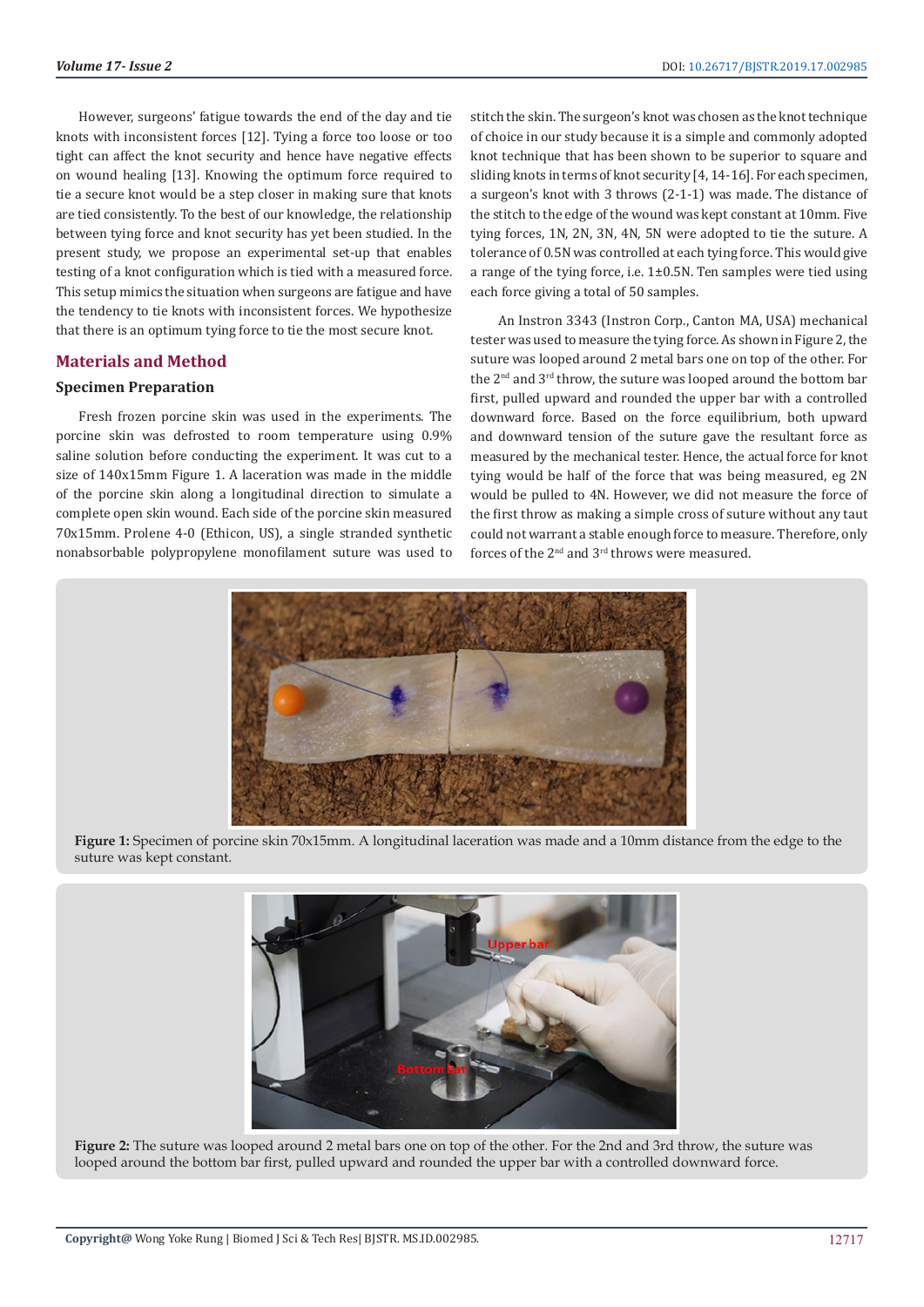However, surgeons' fatigue towards the end of the day and tie knots with inconsistent forces [12]. Tying a force too loose or too tight can affect the knot security and hence have negative effects on wound healing [13]. Knowing the optimum force required to tie a secure knot would be a step closer in making sure that knots are tied consistently. To the best of our knowledge, the relationship between tying force and knot security has yet been studied. In the present study, we propose an experimental set-up that enables testing of a knot configuration which is tied with a measured force. This setup mimics the situation when surgeons are fatigue and have the tendency to tie knots with inconsistent forces. We hypothesize that there is an optimum tying force to tie the most secure knot.

# **Materials and Method**

#### **Specimen Preparation**

Fresh frozen porcine skin was used in the experiments. The porcine skin was defrosted to room temperature using 0.9% saline solution before conducting the experiment. It was cut to a size of 140x15mm Figure 1. A laceration was made in the middle of the porcine skin along a longitudinal direction to simulate a complete open skin wound. Each side of the porcine skin measured 70x15mm. Prolene 4-0 (Ethicon, US), a single stranded synthetic nonabsorbable polypropylene monofilament suture was used to

stitch the skin. The surgeon's knot was chosen as the knot technique of choice in our study because it is a simple and commonly adopted knot technique that has been shown to be superior to square and sliding knots in terms of knot security [4, 14-16]. For each specimen, a surgeon's knot with 3 throws (2-1-1) was made. The distance of the stitch to the edge of the wound was kept constant at 10mm. Five tying forces, 1N, 2N, 3N, 4N, 5N were adopted to tie the suture. A tolerance of 0.5N was controlled at each tying force. This would give a range of the tying force, i.e. 1±0.5N. Ten samples were tied using each force giving a total of 50 samples.

 An Instron 3343 (Instron Corp., Canton MA, USA) mechanical tester was used to measure the tying force. As shown in Figure 2, the suture was looped around 2 metal bars one on top of the other. For the 2<sup>nd</sup> and 3<sup>rd</sup> throw, the suture was looped around the bottom bar first, pulled upward and rounded the upper bar with a controlled downward force. Based on the force equilibrium, both upward and downward tension of the suture gave the resultant force as measured by the mechanical tester. Hence, the actual force for knot tying would be half of the force that was being measured, eg 2N would be pulled to 4N. However, we did not measure the force of the first throw as making a simple cross of suture without any taut could not warrant a stable enough force to measure. Therefore, only forces of the 2nd and 3rd throws were measured.



**Figure 1:** Specimen of porcine skin 70x15mm. A longitudinal laceration was made and a 10mm distance from the edge to the suture was kept constant.



**Figure 2:** The suture was looped around 2 metal bars one on top of the other. For the 2nd and 3rd throw, the suture was looped around the bottom bar first, pulled upward and rounded the upper bar with a controlled downward force.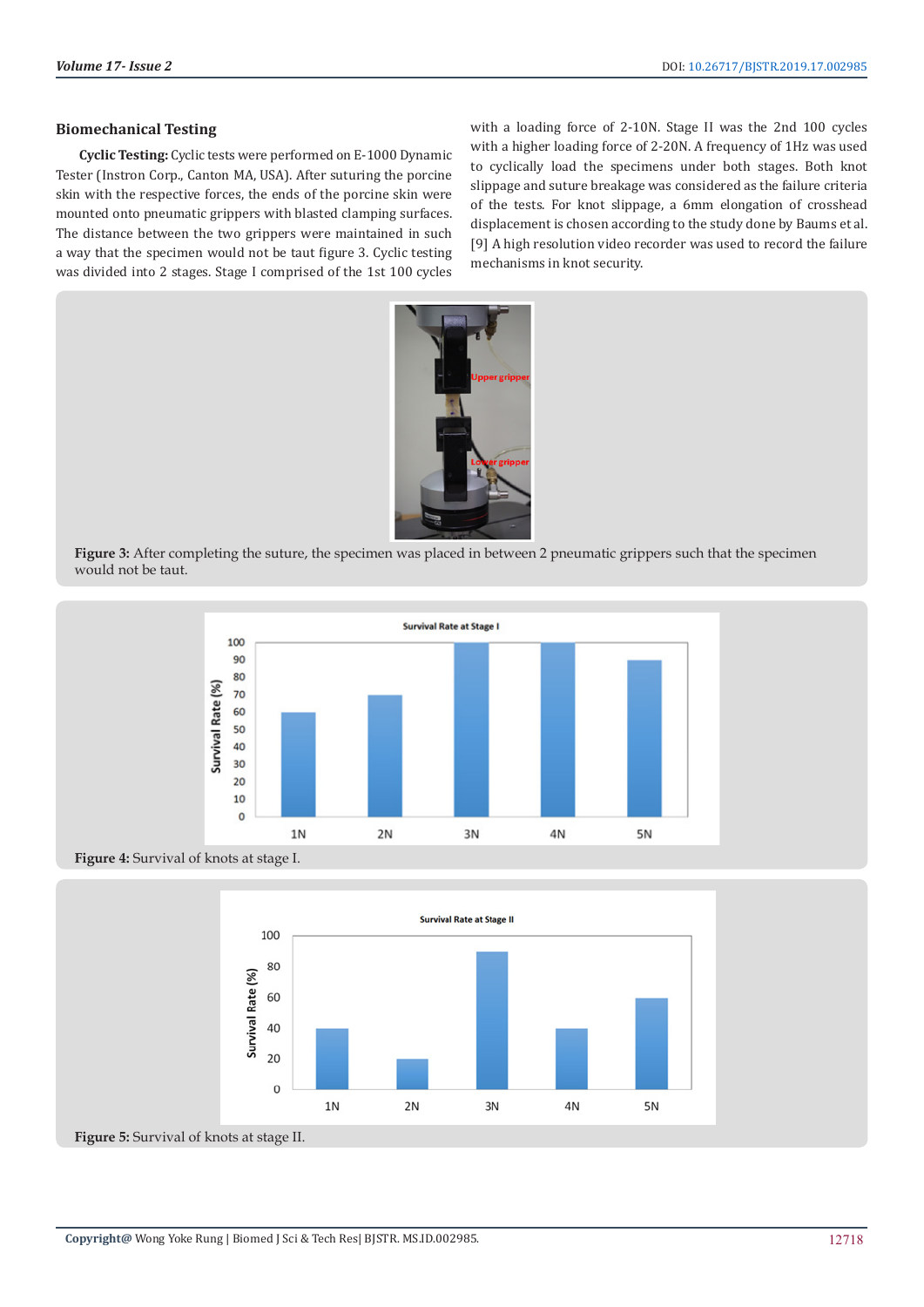#### **Biomechanical Testing**

**Cyclic Testing:** Cyclic tests were performed on E-1000 Dynamic Tester (Instron Corp., Canton MA, USA). After suturing the porcine skin with the respective forces, the ends of the porcine skin were mounted onto pneumatic grippers with blasted clamping surfaces. The distance between the two grippers were maintained in such a way that the specimen would not be taut figure 3. Cyclic testing was divided into 2 stages. Stage I comprised of the 1st 100 cycles

with a loading force of 2-10N. Stage II was the 2nd 100 cycles with a higher loading force of 2-20N. A frequency of 1Hz was used to cyclically load the specimens under both stages. Both knot slippage and suture breakage was considered as the failure criteria of the tests. For knot slippage, a 6mm elongation of crosshead displacement is chosen according to the study done by Baums et al. [9] A high resolution video recorder was used to record the failure mechanisms in knot security.



**Figure 3:** After completing the suture, the specimen was placed in between 2 pneumatic grippers such that the specimen would not be taut.



**Figure 4:** Survival of knots at stage I.

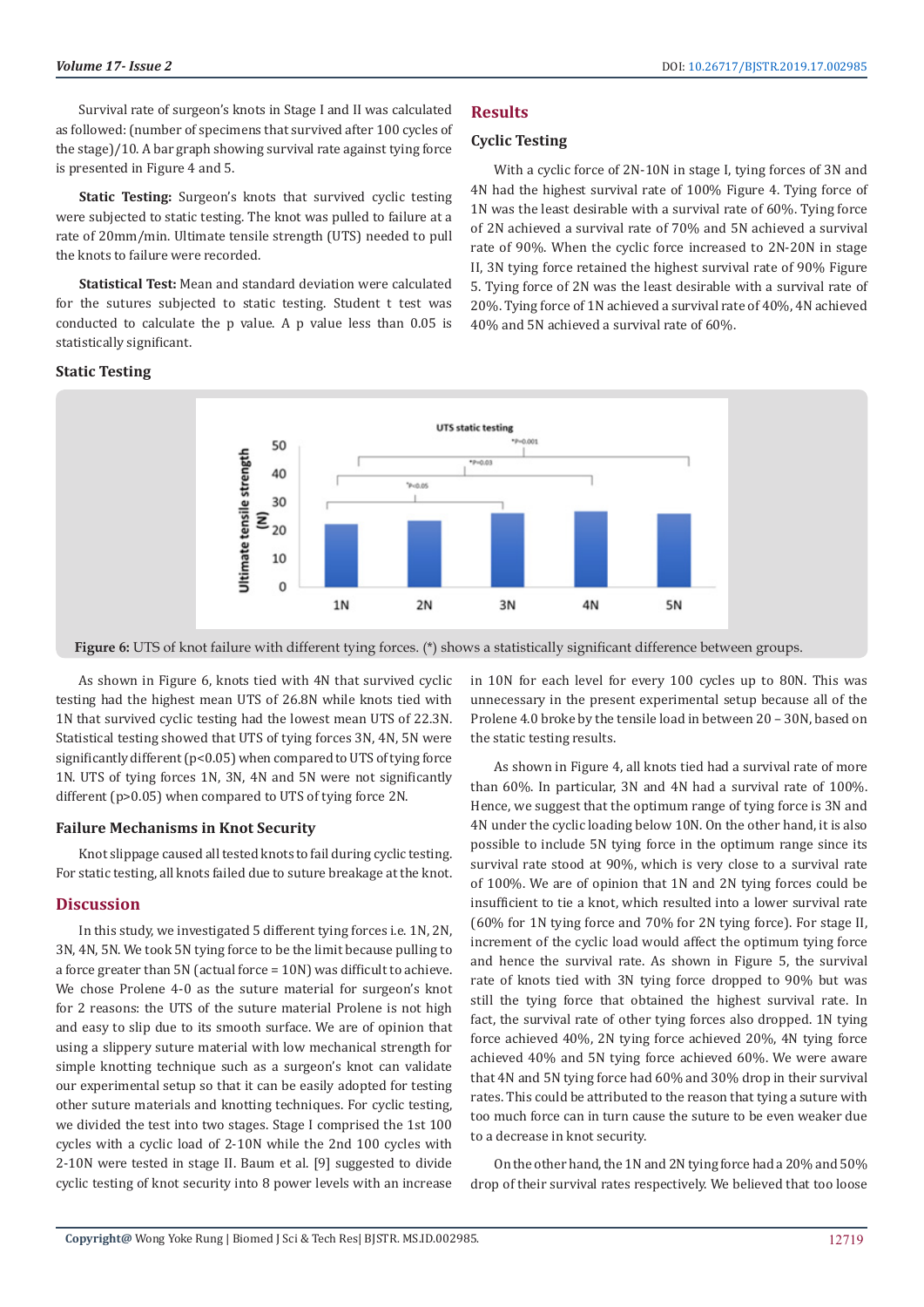Survival rate of surgeon's knots in Stage I and II was calculated as followed: (number of specimens that survived after 100 cycles of the stage)/10. A bar graph showing survival rate against tying force is presented in Figure 4 and 5.

**Static Testing:** Surgeon's knots that survived cyclic testing were subjected to static testing. The knot was pulled to failure at a rate of 20mm/min. Ultimate tensile strength (UTS) needed to pull the knots to failure were recorded.

**Statistical Test:** Mean and standard deviation were calculated for the sutures subjected to static testing. Student t test was conducted to calculate the p value. A p value less than 0.05 is statistically significant.

#### **Static Testing**

# **Results**

#### **Cyclic Testing**

With a cyclic force of 2N-10N in stage I, tying forces of 3N and 4N had the highest survival rate of 100% Figure 4. Tying force of 1N was the least desirable with a survival rate of 60%. Tying force of 2N achieved a survival rate of 70% and 5N achieved a survival rate of 90%. When the cyclic force increased to 2N-20N in stage II, 3N tying force retained the highest survival rate of 90% Figure 5. Tying force of 2N was the least desirable with a survival rate of 20%. Tying force of 1N achieved a survival rate of 40%, 4N achieved 40% and 5N achieved a survival rate of 60%.



**Figure 6:** UTS of knot failure with different tying forces. (\*) shows a statistically significant difference between groups.

As shown in Figure 6, knots tied with 4N that survived cyclic testing had the highest mean UTS of 26.8N while knots tied with 1N that survived cyclic testing had the lowest mean UTS of 22.3N. Statistical testing showed that UTS of tying forces 3N, 4N, 5N were significantly different (p<0.05) when compared to UTS of tying force 1N. UTS of tying forces 1N, 3N, 4N and 5N were not significantly different (p>0.05) when compared to UTS of tying force 2N.

### **Failure Mechanisms in Knot Security**

Knot slippage caused all tested knots to fail during cyclic testing. For static testing, all knots failed due to suture breakage at the knot.

#### **Discussion**

In this study, we investigated 5 different tying forces i.e. 1N, 2N, 3N, 4N, 5N. We took 5N tying force to be the limit because pulling to a force greater than 5N (actual force = 10N) was difficult to achieve. We chose Prolene 4-0 as the suture material for surgeon's knot for 2 reasons: the UTS of the suture material Prolene is not high and easy to slip due to its smooth surface. We are of opinion that using a slippery suture material with low mechanical strength for simple knotting technique such as a surgeon's knot can validate our experimental setup so that it can be easily adopted for testing other suture materials and knotting techniques. For cyclic testing, we divided the test into two stages. Stage I comprised the 1st 100 cycles with a cyclic load of 2-10N while the 2nd 100 cycles with 2-10N were tested in stage II. Baum et al. [9] suggested to divide cyclic testing of knot security into 8 power levels with an increase

in 10N for each level for every 100 cycles up to 80N. This was unnecessary in the present experimental setup because all of the Prolene 4.0 broke by the tensile load in between 20 – 30N, based on the static testing results.

As shown in Figure 4, all knots tied had a survival rate of more than 60%. In particular, 3N and 4N had a survival rate of 100%. Hence, we suggest that the optimum range of tying force is 3N and 4N under the cyclic loading below 10N. On the other hand, it is also possible to include 5N tying force in the optimum range since its survival rate stood at 90%, which is very close to a survival rate of 100%. We are of opinion that 1N and 2N tying forces could be insufficient to tie a knot, which resulted into a lower survival rate (60% for 1N tying force and 70% for 2N tying force). For stage II, increment of the cyclic load would affect the optimum tying force and hence the survival rate. As shown in Figure 5, the survival rate of knots tied with 3N tying force dropped to 90% but was still the tying force that obtained the highest survival rate. In fact, the survival rate of other tying forces also dropped. 1N tying force achieved 40%, 2N tying force achieved 20%, 4N tying force achieved 40% and 5N tying force achieved 60%. We were aware that 4N and 5N tying force had 60% and 30% drop in their survival rates. This could be attributed to the reason that tying a suture with too much force can in turn cause the suture to be even weaker due to a decrease in knot security.

On the other hand, the 1N and 2N tying force had a 20% and 50% drop of their survival rates respectively. We believed that too loose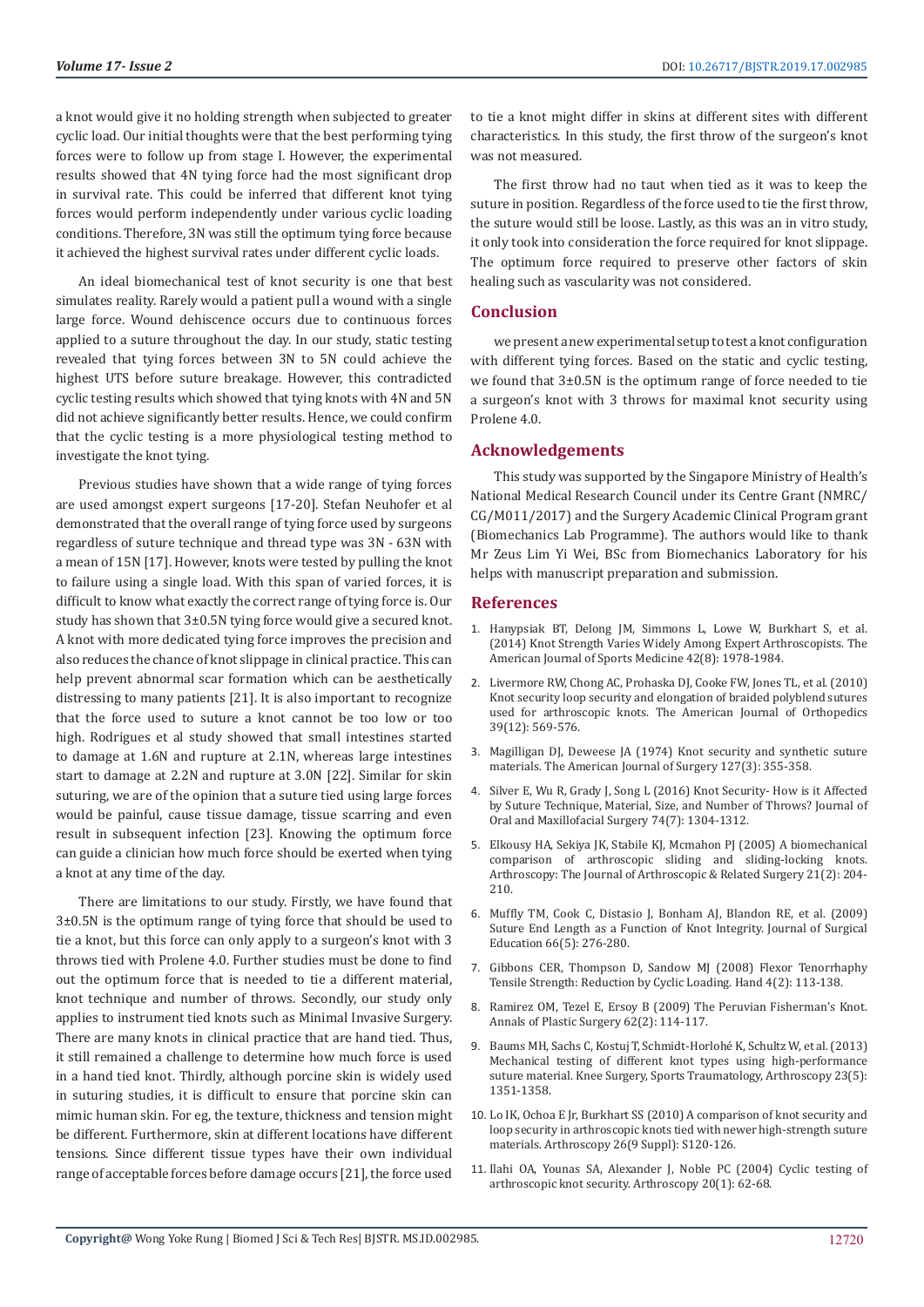a knot would give it no holding strength when subjected to greater cyclic load. Our initial thoughts were that the best performing tying forces were to follow up from stage I. However, the experimental results showed that 4N tying force had the most significant drop in survival rate. This could be inferred that different knot tying forces would perform independently under various cyclic loading conditions. Therefore, 3N was still the optimum tying force because it achieved the highest survival rates under different cyclic loads.

An ideal biomechanical test of knot security is one that best simulates reality. Rarely would a patient pull a wound with a single large force. Wound dehiscence occurs due to continuous forces applied to a suture throughout the day. In our study, static testing revealed that tying forces between 3N to 5N could achieve the highest UTS before suture breakage. However, this contradicted cyclic testing results which showed that tying knots with 4N and 5N did not achieve significantly better results. Hence, we could confirm that the cyclic testing is a more physiological testing method to investigate the knot tying.

Previous studies have shown that a wide range of tying forces are used amongst expert surgeons [17-20]. Stefan Neuhofer et al demonstrated that the overall range of tying force used by surgeons regardless of suture technique and thread type was 3N - 63N with a mean of 15N [17]. However, knots were tested by pulling the knot to failure using a single load. With this span of varied forces, it is difficult to know what exactly the correct range of tying force is. Our study has shown that 3±0.5N tying force would give a secured knot. A knot with more dedicated tying force improves the precision and also reduces the chance of knot slippage in clinical practice. This can help prevent abnormal scar formation which can be aesthetically distressing to many patients [21]. It is also important to recognize that the force used to suture a knot cannot be too low or too high. Rodrigues et al study showed that small intestines started to damage at 1.6N and rupture at 2.1N, whereas large intestines start to damage at 2.2N and rupture at 3.0N [22]. Similar for skin suturing, we are of the opinion that a suture tied using large forces would be painful, cause tissue damage, tissue scarring and even result in subsequent infection [23]. Knowing the optimum force can guide a clinician how much force should be exerted when tying a knot at any time of the day.

There are limitations to our study. Firstly, we have found that 3±0.5N is the optimum range of tying force that should be used to tie a knot, but this force can only apply to a surgeon's knot with 3 throws tied with Prolene 4.0. Further studies must be done to find out the optimum force that is needed to tie a different material, knot technique and number of throws. Secondly, our study only applies to instrument tied knots such as Minimal Invasive Surgery. There are many knots in clinical practice that are hand tied. Thus, it still remained a challenge to determine how much force is used in a hand tied knot. Thirdly, although porcine skin is widely used in suturing studies, it is difficult to ensure that porcine skin can mimic human skin. For eg, the texture, thickness and tension might be different. Furthermore, skin at different locations have different tensions. Since different tissue types have their own individual range of acceptable forces before damage occurs [21], the force used

to tie a knot might differ in skins at different sites with different characteristics. In this study, the first throw of the surgeon's knot was not measured.

The first throw had no taut when tied as it was to keep the suture in position. Regardless of the force used to tie the first throw, the suture would still be loose. Lastly, as this was an in vitro study, it only took into consideration the force required for knot slippage. The optimum force required to preserve other factors of skin healing such as vascularity was not considered.

#### **Conclusion**

we present a new experimental setup to test a knot configuration with different tying forces. Based on the static and cyclic testing, we found that 3±0.5N is the optimum range of force needed to tie a surgeon's knot with 3 throws for maximal knot security using Prolene 4.0.

#### **Acknowledgements**

This study was supported by the Singapore Ministry of Health's National Medical Research Council under its Centre Grant (NMRC/ CG/M011/2017) and the Surgery Academic Clinical Program grant (Biomechanics Lab Programme). The authors would like to thank Mr Zeus Lim Yi Wei, BSc from Biomechanics Laboratory for his helps with manuscript preparation and submission.

### **References**

- 1. [Hanypsiak BT, Delong JM, Simmons L, Lowe W, Burkhart S, et al.](https://www.ncbi.nlm.nih.gov/pubmed/24925142) [\(2014\) Knot Strength Varies Widely Among Expert Arthroscopists. The](https://www.ncbi.nlm.nih.gov/pubmed/24925142) [American Journal of Sports Medicine 42\(8\): 1978-1984.](https://www.ncbi.nlm.nih.gov/pubmed/24925142)
- 2. [Livermore RW, Chong AC, Prohaska DJ, Cooke FW, Jones TL, et al. \(2010\)](https://www.ncbi.nlm.nih.gov/pubmed/21720573) [Knot security loop security and elongation of braided polyblend sutures](https://www.ncbi.nlm.nih.gov/pubmed/21720573) [used for arthroscopic knots. The American Journal of Orthopedics](https://www.ncbi.nlm.nih.gov/pubmed/21720573) [39\(12\): 569-576.](https://www.ncbi.nlm.nih.gov/pubmed/21720573)
- 3. [Magilligan DJ, Deweese JA \(1974\) Knot security and synthetic suture](https://www.ncbi.nlm.nih.gov/pubmed/4272946) [materials. The American Journal of Surgery 127\(3\): 355-358.](https://www.ncbi.nlm.nih.gov/pubmed/4272946)
- 4. [Silver E, Wu R, Grady J, Song L \(2016\) Knot Security- How is it Affected](https://www.ncbi.nlm.nih.gov/pubmed/26979258) [by Suture Technique, Material, Size, and Number of Throws? Journal of](https://www.ncbi.nlm.nih.gov/pubmed/26979258) [Oral and Maxillofacial Surgery 74\(7\): 1304-1312.](https://www.ncbi.nlm.nih.gov/pubmed/26979258)
- 5. [Elkousy HA, Sekiya JK, Stabile KJ, Mcmahon PJ \(2005\) A biomechanical](https://www.ncbi.nlm.nih.gov/pubmed/15689871) [comparison of arthroscopic sliding and sliding-locking knots.](https://www.ncbi.nlm.nih.gov/pubmed/15689871) [Arthroscopy: The Journal of Arthroscopic & Related Surgery 21\(2\): 204-](https://www.ncbi.nlm.nih.gov/pubmed/15689871) [210.](https://www.ncbi.nlm.nih.gov/pubmed/15689871)
- 6. [Muffly TM, Cook C, Distasio J, Bonham AJ, Blandon RE, et al. \(2009\)](https://www.ncbi.nlm.nih.gov/pubmed/20005500) [Suture End Length as a Function of Knot Integrity. Journal of Surgical](https://www.ncbi.nlm.nih.gov/pubmed/20005500) [Education 66\(5\): 276-280.](https://www.ncbi.nlm.nih.gov/pubmed/20005500)
- 7. [Gibbons CER, Thompson D, Sandow MJ \(2008\) Flexor Tenorrhaphy](https://www.researchgate.net/publication/23670383_Flexor_Tenorrhaphy_Tensile_Strength_Reduction_by_Cyclic_Loading) [Tensile Strength: Reduction by Cyclic Loading. Hand 4\(2\): 113-138.](https://www.researchgate.net/publication/23670383_Flexor_Tenorrhaphy_Tensile_Strength_Reduction_by_Cyclic_Loading)
- 8. [Ramirez OM, Tezel E, Ersoy B \(2009\) The Peruvian Fisherman's Knot.](https://www.academia.edu/11179423/The_Peruvian_Fisherman%CA%BCs_Knot_A_New_Simple_and_Versatile_Self-Locking_Sliding_Knot) [Annals of Plastic Surgery 62\(2\): 114-117.](https://www.academia.edu/11179423/The_Peruvian_Fisherman%CA%BCs_Knot_A_New_Simple_and_Versatile_Self-Locking_Sliding_Knot)
- 9. [Baums MH, Sachs C, Kostuj T, Schmidt-Horlohé K, Schultz W, et al. \(2013\)](https://www.ncbi.nlm.nih.gov/pubmed/24121875) [Mechanical testing of different knot types using high-performance](https://www.ncbi.nlm.nih.gov/pubmed/24121875) [suture material. Knee Surgery, Sports Traumatology, Arthroscopy 23\(5\):](https://www.ncbi.nlm.nih.gov/pubmed/24121875) [1351-1358.](https://www.ncbi.nlm.nih.gov/pubmed/24121875)
- 10. [Lo IK, Ochoa E Jr, Burkhart SS \(2010\) A comparison of knot security and](https://www.ncbi.nlm.nih.gov/pubmed/20810086) [loop security in arthroscopic knots tied with newer high-strength suture](https://www.ncbi.nlm.nih.gov/pubmed/20810086) [materials. Arthroscopy 26\(9 Suppl\): S120-126.](https://www.ncbi.nlm.nih.gov/pubmed/20810086)
- 11. [Ilahi OA, Younas SA, Alexander J, Noble PC \(2004\) Cyclic testing of](https://www.ncbi.nlm.nih.gov/pubmed/14716281) [arthroscopic knot security. Arthroscopy 20\(1\): 62-68.](https://www.ncbi.nlm.nih.gov/pubmed/14716281)